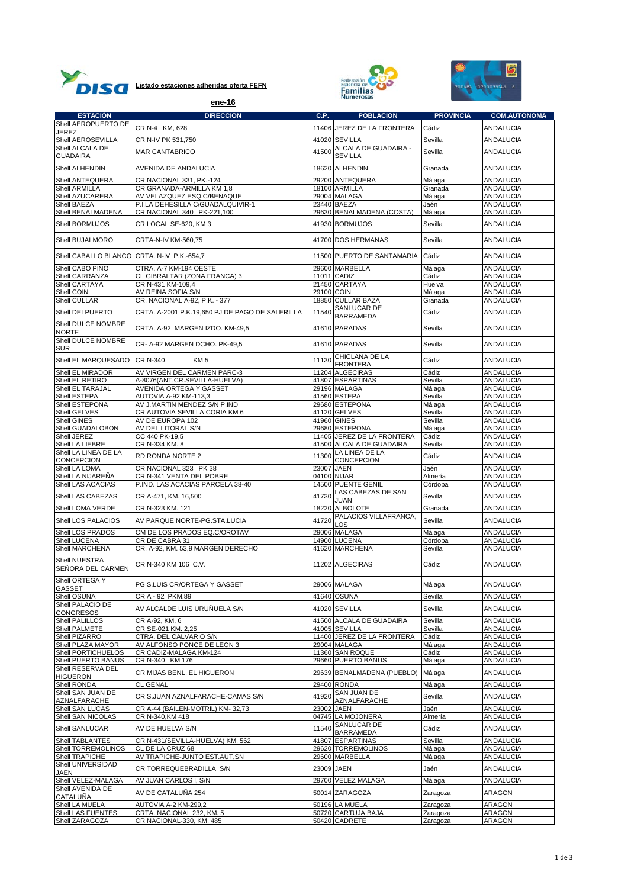





|                                            | ene-16                                               |            | <b>Numerosas</b>                           |                      |                                      |
|--------------------------------------------|------------------------------------------------------|------------|--------------------------------------------|----------------------|--------------------------------------|
| <b>ESTACIÓN</b>                            | <b>DIRECCION</b>                                     | C.P.       | <b>POBLACION</b>                           | <b>PROVINCIA</b>     | <b>COM.AUTONOMA</b>                  |
| Shell AEROPUERTO DE                        | CR N-4 KM, 628                                       |            | 11406 JEREZ DE LA FRONTERA                 | Cádiz                | <b>ANDALUCIA</b>                     |
| JEREZ                                      |                                                      |            |                                            |                      |                                      |
| Shell AEROSEVILLA<br>Shell ALCALA DE       | CR N-IV PK 531,750                                   |            | 41020 SEVILLA<br>ALCALA DE GUADAIRA -      | Sevilla              | <b>ANDALUCIA</b>                     |
| <b>GUADAIRA</b>                            | <b>MAR CANTABRICO</b>                                | 41500      | <b>SEVILLA</b>                             | Sevilla              | ANDALUCIA                            |
| Shell ALHENDIN                             | AVENIDA DE ANDALUCIA                                 |            | 18620 ALHENDIN                             | Granada              | <b>ANDALUCIA</b>                     |
| Shell ANTEQUERA                            | CR NACIONAL 331, PK.-124                             |            | 29200 ANTEQUERA                            | Málaga               | ANDALUCIA                            |
| Shell ARMILLA                              | CR GRANADA-ARMILLA KM 1,8                            |            | 18100 ARMILLA                              | Granada              | <b>ANDALUCIA</b>                     |
| Shell AZUCARERA                            | AV VELAZQUEZ ESQ.C/BENAQUE                           |            | 29004 MALAGA                               | Málaga               | ANDALUCIA                            |
| Shell BAEZA                                | P.I.LA DEHESILLA C/GUADALQUIVIR-1                    |            | 23440 BAEZA                                | Jaén                 | ANDALUCIA                            |
| Shell BENALMADENA                          | CR NACIONAL 340 PK-221,100                           |            | 29630 BENALMADENA (COSTA)                  | Málaga               | ANDALUCIA                            |
| Shell BORMUJOS<br>Shell BUJALMORO          | CR LOCAL SE-620, KM 3                                |            | 41930 BORMUJOS<br>41700 DOS HERMANAS       | Sevilla<br>Sevilla   | <b>ANDALUCIA</b><br><b>ANDALUCIA</b> |
|                                            | CRTA-N-IV KM-560,75                                  |            |                                            |                      |                                      |
| Shell CABALLO BLANCO CRTA. N-IV P.K.-654,7 |                                                      |            | 11500 PUERTO DE SANTAMARIA                 | Cádiz                | <b>ANDALUCIA</b>                     |
| Shell CABO PINO                            | CTRA, A-7 KM-194 OESTE                               |            | 29600 MARBELLA<br>$\overline{11}011$ CADIZ | Málaga               | <b>ANDALUCIA</b>                     |
| Shell CARRANZA<br>Shell CARTAYA            | CL GIBRALTAR (ZONA FRANCA) 3<br>CR N-431 KM-109,4    |            | 21450 CARTAYA                              | Cádiz<br>Huelva      | ANDALUCIA<br><b>ANDALUCIA</b>        |
| Shell COIN                                 | AV REINA SOFIA S/N                                   | 29100 COIN |                                            | Málaga               | <b>ANDALUCIA</b>                     |
| Shell CULLAR                               | CR. NACIONAL A-92, P.K. - 377                        |            | 18850 CULLAR BAZA                          | Granada              | ANDALUCIA                            |
| Shell DELPUERTO                            | CRTA, A-2001 P.K.19.650 PJ DE PAGO DE SALERILLA      | 11540      | SANLUCAR DE                                | Cádiz                | <b>ANDALUCIA</b>                     |
| Shell DULCE NOMBRE                         |                                                      |            | <b>BARRAMEDA</b><br>41610 PARADAS          | Sevilla              | <b>ANDALUCIA</b>                     |
| <b>NORTE</b><br>Shell DULCE NOMBRE         | CRTA. A-92 MARGEN IZDO. KM-49,5                      |            |                                            |                      |                                      |
| <b>SUR</b>                                 | CR-A-92 MARGEN DCHO. PK-49,5                         |            | 41610 PARADAS                              | Sevilla              | <b>ANDALUCIA</b>                     |
| Shell EL MARQUESADO                        | <b>CR N-340</b><br>KM <sub>5</sub>                   | 11130      | CHICLANA DE LA<br><b>FRONTERA</b>          | Cádiz                | ANDALUCIA                            |
| Shell EL MIRADOR                           | AV VIRGEN DEL CARMEN PARC-3                          |            | 11204 ALGECIRAS                            | Cádiz                | <b>ANDALUCIA</b>                     |
| Shell EL RETIRO                            | A-8076(ANT.CR.SEVILLA-HUELVA)                        |            | 41807 ESPARTINAS                           | Sevilla              | <b>ANDALUCIA</b>                     |
| Shell EL TARAJAL                           | AVENIDA ORTEGA Y GASSET                              |            | 29196 MALAGA                               | Málaga               | ANDALUCIA                            |
| Shell ESTEPA                               | AUTOVIA A-92 KM-113,3                                |            | 41560 ESTEPA                               | Sevilla              | <b>ANDALUCIA</b>                     |
| Shell ESTEPONA                             | AV J.MARTIN MENDEZ S/N P.IND                         |            | 29680 ESTEPONA                             | Málaga               | <b>ANDALUCIA</b>                     |
| Shell GELVES<br>Shell GINES                | CR AUTOVIA SEVILLA CORIA KM 6                        |            | 41120 GELVES<br>41960 GINES                | Sevilla              | <b>ANDALUCIA</b>                     |
| Shell GUADALOBON                           | AV DE EUROPA 102<br>AV DEL LITORAL S/N               |            | 29680 ESTEPONA                             | Sevilla<br>Málaga    | ANDALUCIA<br><b>ANDALUCIA</b>        |
| Shell JEREZ                                | CC 440 PK-19,5                                       |            | 11405 JEREZ DE LA FRONTERA                 | Cádiz                | ANDALUCIA                            |
| Shell LA LIEBRE                            | CR N-334 KM. 8                                       |            | 41500 ALCALA DE GUADAIRA                   | Sevilla              | <b>ANDALUCIA</b>                     |
| Shell LA LINEA DE LA                       |                                                      | 11300      | LA LINEA DE LA                             | Cádiz                |                                      |
| CONCEPCION                                 | RD RONDA NORTE 2                                     |            | CONCEPCION                                 |                      | <b>ANDALUCIA</b>                     |
| Shell LA LOMA                              | CR NACIONAL 323 PK 38                                |            | 23007 JAEN                                 | Jaén                 | <b>ANDALUCIA</b>                     |
| Shell LA NIJAREÑA                          | CR N-341 VENTA DEL POBRE                             |            | 04100 NIJAR                                | Almería              | ANDALUCIA                            |
| Shell LAS ACACIAS                          | P.IND. LAS ACACIAS PARCELA 38-40                     |            | 14500 PUENTE GENIL<br>LAS CABEZAS DE SAN   | Córdoba              | <b>ANDALUCIA</b>                     |
| Shell LAS CABEZAS                          | CR A-471, KM. 16,500                                 | 41730      | <b>JUAN</b><br>18220 ALBOLOTE              | Sevilla              | <b>ANDALUCIA</b>                     |
| Shell LOMA VERDE                           | CR N-323 KM. 121                                     |            | PALACIOS VILLAFRANCA,                      | Granada              | <b>ANDALUCIA</b>                     |
| Shell LOS PALACIOS                         | AV PARQUE NORTE-PG.STA.LUCIA                         | 41720      | LOS                                        | Sevilla              | <b>ANDALUCIA</b>                     |
| Shell LOS PRADOS                           | CM DE LOS PRADOS EQ.C/OROTAV                         |            | 29006 MALAGA                               | Málaga               | <b>ANDALUCIA</b>                     |
| Shell LUCENA                               | CR DE CABRA 31                                       |            | 14900 LUCENA                               | Córdoba              | <b>ANDALUCIA</b>                     |
| Shell MARCHENA                             | CR. A-92, KM. 53,9 MARGEN DERECHO                    |            | 41620 MARCHENA                             | Sevilla              | <b>ANDALUCIA</b>                     |
| Shell NUESTRA<br>SENORA DEL CARMEN         | CR N-340 KM 106 C.V.                                 |            | 11202 ALGECIRAS                            | Cádiz                | ANDALUCIA                            |
| Shell ORTEGA Y                             | PG S.LUIS CR/ORTEGA Y GASSET                         |            | 29006 MALAGA                               | Málaga               | <b>ANDALUCIA</b>                     |
| GASSET<br>Shell OSUNA                      | CR A - 92 PKM.89                                     |            | 41640 OSUNA                                | Sevilla              | <b>ANDALUCIA</b>                     |
| Shell PALACIO DE                           |                                                      |            |                                            |                      |                                      |
| <b>CONGRESOS</b>                           | AV ALCALDE LUIS URUÑUELA S/N                         |            | 41020 SEVILLA                              | Sevilla              | <b>ANDALUCIA</b>                     |
| Shell PALILLOS                             | CR A-92, KM, 6                                       |            | 41500 ALCALA DE GUADAIRA                   | Sevilla              | <b>ANDALUCIA</b>                     |
| Shell PALMETE                              | CR SE-021 KM, 2.25                                   |            | 41005 SEVILLA                              | Sevilla              | <b>ANDALUCIA</b>                     |
| Shell PIZARRO                              | CTRA. DEL CALVARIO S/N                               |            | 11400 JEREZ DE LA FRONTERA                 | Cádiz                | <b>ANDALUCIA</b>                     |
| Shell PLAZA MAYOR                          | AV ALFONSO PONCE DE LEON 3                           |            | 29004 MALAGA                               | Málaga               | <b>ANDALUCIA</b>                     |
| Shell PORTICHUELOS<br>Shell PUERTO BANUS   | CR CADIZ-MALAGA KM-124<br>CR N-340 KM 176            |            | 11360 SAN ROQUE<br>29660 PUERTO BANUS      | Cádiz                | <b>ANDALUCIA</b><br>ANDALUCIA        |
| Shell RESERVA DEL                          |                                                      |            |                                            | Málaga               |                                      |
| <b>HIGUERON</b>                            | CR MIJAS BENL. EL HIGUERON                           |            | 29639 BENALMADENA (PUEBLO)                 | Málaga               | <b>ANDALUCIA</b>                     |
| Shell RONDA<br>Shell SAN JUAN DE           | CL GENAL                                             |            | 29400 RONDA<br><b>SAN JUAN DE</b>          | Málaga               | ANDALUCIA                            |
| AZNALFARACHE                               | CR S.JUAN AZNALFARACHE-CAMAS S/N                     | 41920      | <b>AZNALFARACHE</b>                        | Sevilla              | ANDALUCIA                            |
| Shell SAN LUCAS                            | CR A-44 (BAILEN-MOTRIL) KM-32,73                     |            | 23002 JAEN                                 | Jaén                 | <b>ANDALUCIA</b>                     |
| Shell SAN NICOLAS<br>Shell SANLUCAR        | CR N-340, KM 418<br>AV DE HUELVA S/N                 | 11540      | 04745 LA MOJONERA<br>SANLUCAR DE           | Almería<br>Cádiz     | ANDALUCIA<br>ANDALUCIA               |
| Shell TABLANTES                            |                                                      |            | <b>BARRAMEDA</b><br>41807 ESPARTINAS       | Sevilla              |                                      |
| Shell TORREMOLINOS                         | CR N-431(SEVILLA-HUELVA) KM. 562<br>CL DE LA CRUZ 68 |            | 29620 TORREMOLINOS                         | Málaga               | <b>ANDALUCIA</b><br>ANDALUCIA        |
| Shell TRAPICHE                             | AV TRAPICHE-JUNTO EST.AUT, SN                        |            | 29600 MARBELLA                             | Málaga               | ANDALUCIA                            |
| Shell UNIVERSIDAD                          |                                                      |            |                                            |                      |                                      |
| JAEN                                       | CR TORREQUEBRADILLA S/N                              |            | 23009 JAEN                                 | Jaén                 | ANDALUCIA                            |
| Shell VELEZ-MALAGA<br>Shell AVENIDA DE     | AV JUAN CARLOS I, S/N                                |            | 29700 VELEZ MALAGA                         | Málaga               | <b>ANDALUCIA</b>                     |
| <b>CATALUÑA</b>                            | AV DE CATALUÑA 254                                   |            | 50014 ZARAGOZA                             | Zaragoza             | ARAGON                               |
| Shell LA MUELA<br>Shell LAS FUENTES        | AUTOVIA A-2 KM-299,2<br>CRTA. NACIONAL 232, KM. 5    |            | 50196 LA MUELA<br>50720 CARTUJA BAJA       | Zaragoza<br>Zaragoza | ARAGON<br>ARAGON                     |
| Shell ZARAGOZA                             | CR NACIONAL-330, KM. 485                             |            | 50420 CADRETE                              | Zaragoza             | ARAGON                               |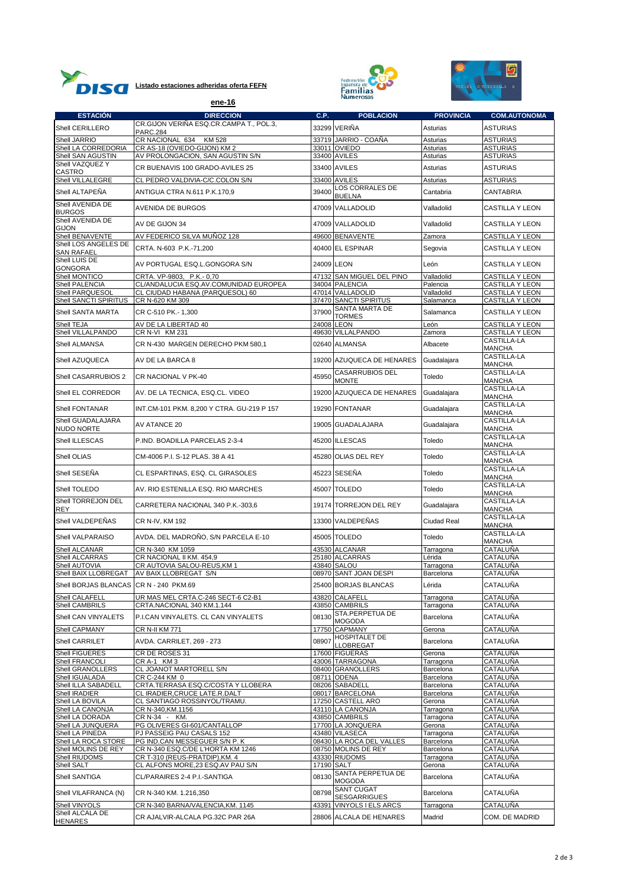





|                                           | ene-16                                                             |            | <b>Numerosas</b>                          |                         |                                     |
|-------------------------------------------|--------------------------------------------------------------------|------------|-------------------------------------------|-------------------------|-------------------------------------|
| <b>ESTACIÓN</b>                           | <b>DIRECCION</b>                                                   | C.P.       | <b>POBLACION</b>                          | <b>PROVINCIA</b>        | <b>COM.AUTONOMA</b>                 |
| Shell CERILLERO                           | CR.GIJON VERIÑA ESQ.CR.CAMPA T., POL.3,                            |            | 33299 VERIÑA                              | Asturias                | <b>ASTURIAS</b>                     |
| Shell JARRIO                              | <b>PARC.284</b><br>CR NACIONAL 634<br><b>KM 528</b>                |            | 33719 JARRIO - COAÑA                      | Asturias                | <b>ASTURIAS</b>                     |
| Shell LA CORREDORIA                       | CR AS-18 (OVIEDO-GIJON) KM 2                                       |            | 33011 OVIEDO                              | Asturias                | <b>ASTURIAS</b>                     |
| Shell SAN AGUSTIN                         | AV PROLONGACION, SAN AGUSTIN S/N                                   |            | 33400 AVILES                              | Asturias                | ASTURIAS                            |
| Shell VAZQUEZ Y<br>CASTRO                 | CR BUENAVIS 100 GRADO-AVILES 25                                    |            | 33400 AVILES                              | Asturias                | <b>ASTURIAS</b>                     |
| Shell VILLALEGRE                          | CL PEDRO VALDIVIA-C/C.COLON S/N                                    |            | 33400 AVILES                              | Asturias                | <b>ASTURIAS</b>                     |
| Shell ALTAPEÑA                            | ANTIGUA CTRA N.611 P.K.170,9                                       | 39400      | LOS CORRALES DE<br><b>BUELNA</b>          | Cantabria               | CANTABRIA                           |
| Shell AVENIDA DE<br><b>BURGOS</b>         | AVENIDA DE BURGOS                                                  |            | 47009 VALLADOLID                          | Valladolid              | CASTILLA Y LEON                     |
| Shell AVENIDA DE<br><b>GIJON</b>          | AV DE GIJON 34                                                     |            | 47009 VALLADOLID                          | Valladolid              | <b>CASTILLA Y LEON</b>              |
| Shell BENAVENTE                           | AV FEDERICO SILVA MUÑOZ 128                                        |            | 49600 BENAVENTE                           | Zamora                  | CASTILLA Y LEON                     |
| Shell LOS ANGELES DE<br><b>SAN RAFAEL</b> | CRTA. N-603 P.K.-71,200                                            |            | 40400 EL ESPINAR                          | Segovia                 | CASTILLA Y LEON                     |
| Shell LUIS DE<br><b>GONGORA</b>           | AV PORTUGAL ESQ.L.GONGORA S/N                                      |            | 24009 LEON                                | León                    | <b>CASTILLA Y LEON</b>              |
| Shell MONTICO                             | CRTA. VP-9803, P.K.-0,70                                           |            | 47132 SAN MIGUEL DEL PINO                 | Valladolid              | <b>CASTILLA Y LEON</b>              |
| Shell PALENCIA                            | CL/ANDALUCIA ESQ.AV.COMUNIDAD EUROPEA                              |            | 34004 PALENCIA                            | Palencia                | CASTILLA Y LEON                     |
| Shell PARQUESOL<br>Shell SANCTI SPIRITUS  | CL CIUDAD HABANA (PARQUESOL) 60<br>CR N-620 KM 309                 |            | 47014 VALLADOLID<br>37470 SANCTI SPIRITUS | Valladolid<br>Salamanca | CASTILLA Y LEON<br>CASTILLA Y LEON  |
|                                           |                                                                    |            | SANTA MARTA DE                            |                         | <b>CASTILLA Y LEON</b>              |
| Shell SANTA MARTA                         | CR C-510 PK .- 1,300                                               | 37900      | TORMES                                    | Salamanca               |                                     |
| Shell TEJA<br>Shell VILLALPANDO           | AV DE LA LIBERTAD 40<br>CR N-VI KM 231                             |            | 24008 LEON<br>49630 VILLALPANDO           | León<br>Zamora          | CASTILLA Y LEON<br>CASTILLA Y LEON  |
|                                           |                                                                    |            |                                           |                         | CASTILLA-LA                         |
| Shell ALMANSA                             | CR N-430  MARGEN DERECHO PKM 580.1                                 |            | 02640 ALMANSA                             | Albacete                | MANCHA<br>CASTILLA-LA               |
| Shell AZUQUECA                            | AV DE LA BARCA 8                                                   |            | 19200 AZUQUECA DE HENARES                 | Guadalajara             | <b>MANCHA</b>                       |
| Shell CASARRUBIOS 2                       | CR NACIONAL V PK-40                                                | 45950      | <b>CASARRUBIOS DEL</b><br><b>MONTE</b>    | Toledo                  | CASTILLA-LA<br>MANCHA               |
| Shell EL CORREDOR                         | AV. DE LA TECNICA, ESQ.CL. VIDEO                                   |            | 19200 AZUQUECA DE HENARES                 | Guadalajara             | CASTILLA-LA<br><b>MANCHA</b>        |
| Shell FONTANAR                            | INT.CM-101 PKM. 8,200 Y CTRA. GU-219 P 157                         |            | 19290 FONTANAR                            | Guadalajara             | CASTILLA-LA<br>MANCHA               |
| Shell GUADALAJARA<br>NUDO NORTE           | AV ATANCE 20                                                       |            | 19005 GUADALAJARA                         | Guadalajara             | CASTILLA-LA<br><b>MANCHA</b>        |
| Shell ILLESCAS                            | P.IND. BOADILLA PARCELAS 2-3-4                                     |            | 45200 ILLESCAS                            | Toledo                  | CASTILLA-LA<br><b>MANCHA</b>        |
| Shell OLIAS                               | CM-4006 P.I. S-12 PLAS. 38 A 41                                    |            | 45280 OLIAS DEL REY                       | Toledo                  | CASTILLA-LA<br><b>MANCHA</b>        |
| Shell SESEÑA                              | CL ESPARTINAS, ESQ. CL GIRASOLES                                   |            | 45223 SESEÑA                              | Toledo                  | CASTILLA-LA<br><b>MANCHA</b>        |
| Shell TOLEDO                              | AV. RIO ESTENILLA ESQ. RIO MARCHES                                 |            | 45007 TOLEDO                              | Toledo                  | CASTILLA-LA<br><b>MANCHA</b>        |
| Shell TORREJON DEL<br><b>REY</b>          | CARRETERA NACIONAL 340 P.K.-303,6                                  |            | 19174 TORREJON DEL REY                    | Guadalajara             | CASTILLA-LA<br><b>MANCHA</b>        |
| Shell VALDEPEÑAS                          | CR N-IV, KM 192                                                    |            | 13300 VALDEPEÑAS                          | Ciudad Real             | <b>CASTILLA-LA</b><br><b>MANCHA</b> |
| Shell VALPARAISO                          | AVDA. DEL MADROÑO, S/N PARCELA E-10                                |            | 45005 TOLEDO                              | Toledo                  | CASTILLA-LA                         |
| Shell ALCANAR                             | CR N-340 KM 1059                                                   |            | 43530 ALCANAR                             | Tarragona               | <b>MANCHA</b><br><b>CATALUÑA</b>    |
| Shell ALCARRAS                            | CR NACIONAL II KM. 454,9                                           |            | 25180 ALCARRAS                            | Lérida                  | CATALUÑA                            |
| Shell AUTOVIA                             | CR AUTOVIA SALOU-REUS, KM 1                                        |            | 43840 SALOU                               | Tarragona               | CATALUÑA                            |
|                                           | Shell BAIX LLOBREGAT AV BAIX LLOBREGAT S/N                         |            | 08970 SANT JOAN DESPI                     | Barcelona               | CATALUÑA                            |
| Shell BORJAS BLANCAS CR N - 240 PKM.69    |                                                                    |            | 25400 BORJAS BLANCAS                      | Lérida                  | CATALUÑA                            |
| Shell CALAFELL                            | UR MAS MEL CRTA.C-246 SECT-6 C2-B1                                 |            | 43820 CALAFELL                            | Tarragona               | CATALUÑA                            |
| Shell CAMBRILS                            | CRTA.NACIONAL 340 KM.1.144                                         |            | 43850 CAMBRILS<br>STA.PERPETUA DE         | Tarragona               | CATALUÑA                            |
| Shell CAN VINYALETS                       | P.I.CAN VINYALETS. CL CAN VINYALETS                                | 08130      | <b>MOGODA</b>                             | Barcelona               | CATALUÑA                            |
| Shell CAPMANY                             | CR N-II KM 771                                                     |            | 17750 CAPMANY                             | Gerona                  | CATALUÑA                            |
| Shell CARRILET                            | AVDA. CARRILET, 269 - 273                                          | 08907      | <b>HOSPITALET DE</b><br>LLOBREGAT         | Barcelona               | CATALUÑA                            |
| Shell FIGUERES                            | CR DE ROSES 31                                                     |            | 17600 FIGUERAS                            | Gerona                  | CATALUÑA                            |
| Shell FRANCOLI<br>Shell GRANOLLERS        | CRA-1 KM3<br>CL JOANOT MARTORELL S/N                               |            | 43006 TARRAGONA                           | Tarragona<br>Barcelona  | CATALUÑA<br><b>CATALUÑA</b>         |
| Shell IGUALADA                            | CR C-244 KM 0                                                      |            | 08400 GRANOLLERS<br>08711 ODENA           | Barcelona               | CATALUÑA                            |
| Shell ILLA SABADELL                       | CRTA.TERRASA ESQ.C/COSTA Y LLOBERA                                 |            | 08206 SABADELL                            | Barcelona               | CATALUÑA                            |
| Shell IRADIER                             | CL IRADIER, CRUCE LATE.R.DALT                                      |            | 08017 BARCELONA                           | Barcelona               | <b>CATALUÑA</b>                     |
| Shell LA BOVILA<br>Shell LA CANONJA       | CL SANTIAGO ROSSINYOL/TRAMU.<br>CR N-340, KM. 1156                 |            | 17250 CASTELL ARO<br>43110 LA CANONJA     | Gerona<br>Tarragona     | <b>CATALUÑA</b><br>CATALUÑA         |
| Shell LA DORADA                           | CR N-34 - KM.                                                      |            | 43850 CAMBRILS                            | Tarragona               | CATALUÑA                            |
| Shell LA JUNQUERA                         | PG OLIVERES GI-601/CANTALLOP                                       |            | 17700 LA JONQUERA                         | Gerona                  | CATALUÑA                            |
| Shell LA PINEDA                           | PJ PASSEIG PAU CASALS 152                                          |            | 43480 VILASECA                            | Tarragona               | CATALUÑA                            |
| Shell LA ROCA STORE                       | PG IND.CAN MESSEGUER S/N P. K                                      |            | 08430 LA ROCA DEL VALLES                  | Barcelona               | CATALUÑA                            |
| Shell MOLINS DE REY<br>Shell RIUDOMS      | CR N-340 ESQ.C/DE L'HORTA KM 1246<br>CR T-310 (REUS-PRATDIP),KM. 4 |            | 08750 MOLINS DE REY<br>43330 RIUDOMS      | Barcelona<br>Tarragona  | CATALUÑA<br>CATALUÑA                |
| Shell SALT                                | CL ALFONS MORE,23 ESQ.AV PAU S/N                                   | 17190 SALT |                                           | Gerona                  | CATALUÑA                            |
| Shell SANTIGA                             | CL/PARAIRES 2-4 P.I.-SANTIGA                                       | 08130      | SANTA PERPETUA DE<br><b>MOGODA</b>        | Barcelona               | CATALUÑA                            |
| Shell VILAFRANCA (N)                      | CR N-340 KM. 1.216,350                                             | 08798      | <b>SANT CUGAT</b><br><b>SESGARRIGUES</b>  | Barcelona               | CATALUÑA                            |
| Shell VINYOLS                             | CR N-340 BARNA/VALENCIA,KM. 1145                                   | 43391      | VINYOLS I ELS ARCS                        | Tarragona               | CATALUÑA                            |
| Shell ALCALA DE<br><b>HENARES</b>         | CR AJALVIR-ALCALA PG.32C PAR 26A                                   |            | 28806 ALCALA DE HENARES                   | Madrid                  | COM. DE MADRID                      |